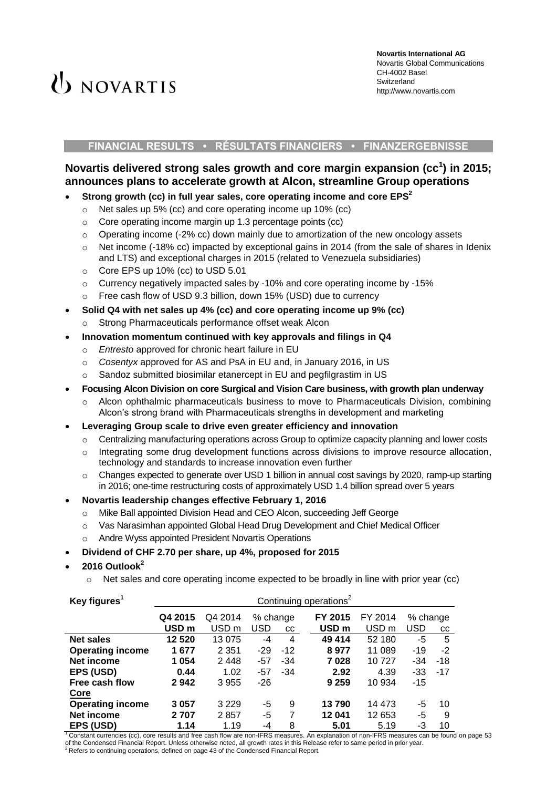# **(b)** NOVARTIS

#### **FINANCIAL RESULTS • RÉSULTATS FINANCIERS • FINANZERGEBNISSE**

# **Novartis delivered strong sales growth and core margin expansion (cc<sup>1</sup> ) in 2015; announces plans to accelerate growth at Alcon, streamline Group operations**

# **Strong growth (cc) in full year sales, core operating income and core EPS<sup>2</sup>**

- o Net sales up 5% (cc) and core operating income up 10% (cc)
- o Core operating income margin up 1.3 percentage points (cc)
- $\circ$  Operating income (-2% cc) down mainly due to amortization of the new oncology assets
- $\circ$  Net income (-18% cc) impacted by exceptional gains in 2014 (from the sale of shares in Idenix and LTS) and exceptional charges in 2015 (related to Venezuela subsidiaries)
- o Core EPS up 10% (cc) to USD 5.01
- $\circ$  Currency negatively impacted sales by -10% and core operating income by -15%
- o Free cash flow of USD 9.3 billion, down 15% (USD) due to currency
- **Solid Q4 with net sales up 4% (cc) and core operating income up 9% (cc)** 
	- Strong Pharmaceuticals performance offset weak Alcon
- **Innovation momentum continued with key approvals and filings in Q4**
	- o *Entresto* approved for chronic heart failure in EU
	- o *Cosentyx* approved for AS and PsA in EU and, in January 2016, in US
	- Sandoz submitted biosimilar etanercept in EU and pegfilgrastim in US
- **Focusing Alcon Division on core Surgical and Vision Care business, with growth plan underway**
	- $\circ$  Alcon ophthalmic pharmaceuticals business to move to Pharmaceuticals Division, combining Alcon's strong brand with Pharmaceuticals strengths in development and marketing
- **Leveraging Group scale to drive even greater efficiency and innovation**
	- o Centralizing manufacturing operations across Group to optimize capacity planning and lower costs
	- $\circ$  Integrating some drug development functions across divisions to improve resource allocation, technology and standards to increase innovation even further
	- o Changes expected to generate over USD 1 billion in annual cost savings by 2020, ramp-up starting in 2016; one-time restructuring costs of approximately USD 1.4 billion spread over 5 years
- **Novartis leadership changes effective February 1, 2016**
	- o Mike Ball appointed Division Head and CEO Alcon, succeeding Jeff George
	- o Vas Narasimhan appointed Global Head Drug Development and Chief Medical Officer
	- o Andre Wyss appointed President Novartis Operations
- **Dividend of CHF 2.70 per share, up 4%, proposed for 2015**
- **2016 Outlook<sup>2</sup>**
	- $\circ$  Net sales and core operating income expected to be broadly in line with prior year (cc)

| Key figures <sup>1</sup> | Continuing operations <sup>2</sup> |                  |          |           |                  |                  |            |       |
|--------------------------|------------------------------------|------------------|----------|-----------|------------------|------------------|------------|-------|
|                          | Q4 2015                            | Q4 2014          | % change |           | FY 2015          | FY 2014          | % change   |       |
|                          | USD <sub>m</sub>                   | USD <sub>m</sub> | USD      | <b>CC</b> | USD <sub>m</sub> | USD <sub>m</sub> | <b>USD</b> | cc    |
| <b>Net sales</b>         | 12 5 20                            | 13 0 75          | $-4$     | 4         | 49 414           | 52 180           | -5         | 5     |
| <b>Operating income</b>  | 1677                               | 2 3 5 1          | $-29$    | $-12$     | 8977             | 11 089           | $-19$      | $-2$  |
| Net income               | 1054                               | 2448             | $-57$    | $-34$     | 7028             | 10727            | -34        | -18   |
| EPS (USD)                | 0.44                               | 1.02             | $-57$    | $-34$     | 2.92             | 4.39             | $-33$      | $-17$ |
| Free cash flow           | 2942                               | 3955             | $-26$    |           | 9 2 5 9          | 10 934           | $-15$      |       |
| Core                     |                                    |                  |          |           |                  |                  |            |       |
| <b>Operating income</b>  | 3 0 5 7                            | 3 2 2 9          | -5       | 9         | 13790            | 14 473           | -5         | 10    |
| Net income               | 2 707                              | 2857             | -5       | 7         | 12 041           | 12 653           | -5         | 9     |
| EPS (USD)                | 1.14                               | 1.19             | -4       | 8         | 5.01             | 5.19             | -3         | 10    |

 $1$ Constant currencies (cc), core results and free cash flow are non-IFRS measures. An explanation of non-IFRS measures can be found on page 53 of the Condensed Financial Report. Unless otherwise noted, all growth rates in this Release refer to same period in prior year.<br><sup>2</sup> Refers to continuing operations, defined on page 43 of the Condensed Financial Report.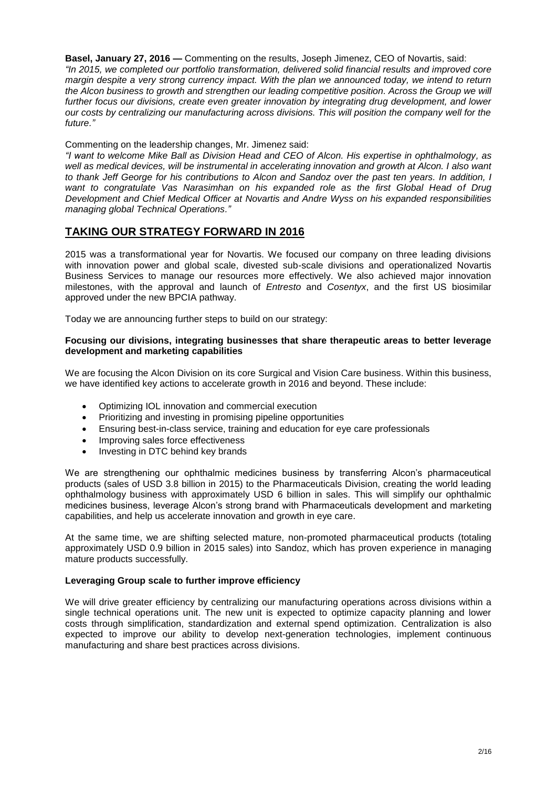**Basel, January 27, 2016 —** Commenting on the results, Joseph Jimenez, CEO of Novartis, said: *"In 2015, we completed our portfolio transformation, delivered solid financial results and improved core margin despite a very strong currency impact. With the plan we announced today, we intend to return the Alcon business to growth and strengthen our leading competitive position. Across the Group we will further focus our divisions, create even greater innovation by integrating drug development, and lower our costs by centralizing our manufacturing across divisions. This will position the company well for the future."*

Commenting on the leadership changes, Mr. Jimenez said:

*"I want to welcome Mike Ball as Division Head and CEO of Alcon. His expertise in ophthalmology, as well as medical devices, will be instrumental in accelerating innovation and growth at Alcon. I also want to thank Jeff George for his contributions to Alcon and Sandoz over the past ten years. In addition, I want to congratulate Vas Narasimhan on his expanded role as the first Global Head of Drug Development and Chief Medical Officer at Novartis and Andre Wyss on his expanded responsibilities managing global Technical Operations."*

# **TAKING OUR STRATEGY FORWARD IN 2016**

2015 was a transformational year for Novartis. We focused our company on three leading divisions with innovation power and global scale, divested sub-scale divisions and operationalized Novartis Business Services to manage our resources more effectively. We also achieved major innovation milestones, with the approval and launch of *Entresto* and *Cosentyx*, and the first US biosimilar approved under the new BPCIA pathway.

Today we are announcing further steps to build on our strategy:

#### **Focusing our divisions, integrating businesses that share therapeutic areas to better leverage development and marketing capabilities**

We are focusing the Alcon Division on its core Surgical and Vision Care business. Within this business, we have identified key actions to accelerate growth in 2016 and beyond. These include:

- Optimizing IOL innovation and commercial execution
- Prioritizing and investing in promising pipeline opportunities
- Ensuring best-in-class service, training and education for eye care professionals
- Improving sales force effectiveness
- Investing in DTC behind key brands

We are strengthening our ophthalmic medicines business by transferring Alcon's pharmaceutical products (sales of USD 3.8 billion in 2015) to the Pharmaceuticals Division, creating the world leading ophthalmology business with approximately USD 6 billion in sales. This will simplify our ophthalmic medicines business, leverage Alcon's strong brand with Pharmaceuticals development and marketing capabilities, and help us accelerate innovation and growth in eye care.

At the same time, we are shifting selected mature, non-promoted pharmaceutical products (totaling approximately USD 0.9 billion in 2015 sales) into Sandoz, which has proven experience in managing mature products successfully.

## **Leveraging Group scale to further improve efficiency**

We will drive greater efficiency by centralizing our manufacturing operations across divisions within a single technical operations unit. The new unit is expected to optimize capacity planning and lower costs through simplification, standardization and external spend optimization. Centralization is also expected to improve our ability to develop next-generation technologies, implement continuous manufacturing and share best practices across divisions.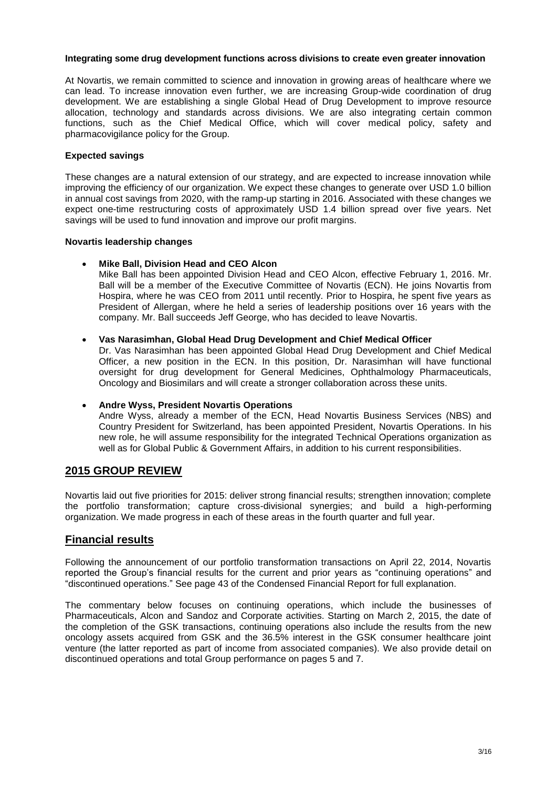#### **Integrating some drug development functions across divisions to create even greater innovation**

At Novartis, we remain committed to science and innovation in growing areas of healthcare where we can lead. To increase innovation even further, we are increasing Group-wide coordination of drug development. We are establishing a single Global Head of Drug Development to improve resource allocation, technology and standards across divisions. We are also integrating certain common functions, such as the Chief Medical Office, which will cover medical policy, safety and pharmacovigilance policy for the Group.

#### **Expected savings**

These changes are a natural extension of our strategy, and are expected to increase innovation while improving the efficiency of our organization. We expect these changes to generate over USD 1.0 billion in annual cost savings from 2020, with the ramp-up starting in 2016. Associated with these changes we expect one-time restructuring costs of approximately USD 1.4 billion spread over five years. Net savings will be used to fund innovation and improve our profit margins.

#### **Novartis leadership changes**

## **Mike Ball, Division Head and CEO Alcon**

Mike Ball has been appointed Division Head and CEO Alcon, effective February 1, 2016. Mr. Ball will be a member of the Executive Committee of Novartis (ECN). He joins Novartis from Hospira, where he was CEO from 2011 until recently. Prior to Hospira, he spent five years as President of Allergan, where he held a series of leadership positions over 16 years with the company. Mr. Ball succeeds Jeff George, who has decided to leave Novartis.

#### **Vas Narasimhan, Global Head Drug Development and Chief Medical Officer**

Dr. Vas Narasimhan has been appointed Global Head Drug Development and Chief Medical Officer, a new position in the ECN. In this position, Dr. Narasimhan will have functional oversight for drug development for General Medicines, Ophthalmology Pharmaceuticals, Oncology and Biosimilars and will create a stronger collaboration across these units.

## **Andre Wyss, President Novartis Operations**

Andre Wyss, already a member of the ECN, Head Novartis Business Services (NBS) and Country President for Switzerland, has been appointed President, Novartis Operations. In his new role, he will assume responsibility for the integrated Technical Operations organization as well as for Global Public & Government Affairs, in addition to his current responsibilities.

# **2015 GROUP REVIEW**

Novartis laid out five priorities for 2015: deliver strong financial results; strengthen innovation; complete the portfolio transformation; capture cross-divisional synergies; and build a high-performing organization. We made progress in each of these areas in the fourth quarter and full year.

# **Financial results**

Following the announcement of our portfolio transformation transactions on April 22, 2014, Novartis reported the Group's financial results for the current and prior years as "continuing operations" and "discontinued operations." See page 43 of the Condensed Financial Report for full explanation.

The commentary below focuses on continuing operations, which include the businesses of Pharmaceuticals, Alcon and Sandoz and Corporate activities. Starting on March 2, 2015, the date of the completion of the GSK transactions, continuing operations also include the results from the new oncology assets acquired from GSK and the 36.5% interest in the GSK consumer healthcare joint venture (the latter reported as part of income from associated companies). We also provide detail on discontinued operations and total Group performance on pages 5 and 7.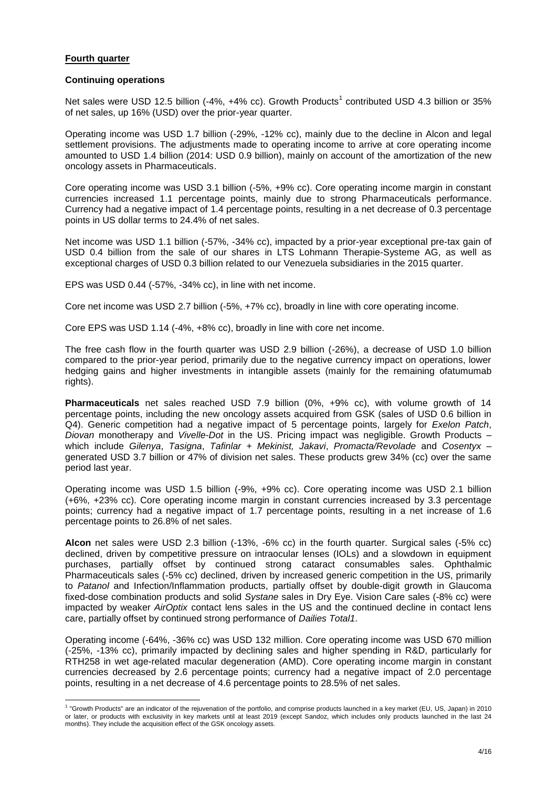#### **Fourth quarter**

#### **Continuing operations**

Net sales were USD 12.5 billion (-4%, +4% cc). Growth Products<sup>1</sup> contributed USD 4.3 billion or 35% of net sales, up 16% (USD) over the prior-year quarter.

Operating income was USD 1.7 billion (-29%, -12% cc), mainly due to the decline in Alcon and legal settlement provisions. The adjustments made to operating income to arrive at core operating income amounted to USD 1.4 billion (2014: USD 0.9 billion), mainly on account of the amortization of the new oncology assets in Pharmaceuticals.

Core operating income was USD 3.1 billion (-5%, +9% cc). Core operating income margin in constant currencies increased 1.1 percentage points, mainly due to strong Pharmaceuticals performance. Currency had a negative impact of 1.4 percentage points, resulting in a net decrease of 0.3 percentage points in US dollar terms to 24.4% of net sales.

Net income was USD 1.1 billion (-57%, -34% cc), impacted by a prior-year exceptional pre-tax gain of USD 0.4 billion from the sale of our shares in LTS Lohmann Therapie-Systeme AG, as well as exceptional charges of USD 0.3 billion related to our Venezuela subsidiaries in the 2015 quarter.

EPS was USD 0.44 (-57%, -34% cc), in line with net income.

Core net income was USD 2.7 billion (-5%, +7% cc), broadly in line with core operating income.

Core EPS was USD 1.14 (-4%, +8% cc), broadly in line with core net income.

The free cash flow in the fourth quarter was USD 2.9 billion (-26%), a decrease of USD 1.0 billion compared to the prior-year period, primarily due to the negative currency impact on operations, lower hedging gains and higher investments in intangible assets (mainly for the remaining ofatumumab rights).

**Pharmaceuticals** net sales reached USD 7.9 billion (0%, +9% cc), with volume growth of 14 percentage points, including the new oncology assets acquired from GSK (sales of USD 0.6 billion in Q4). Generic competition had a negative impact of 5 percentage points, largely for *Exelon Patch*, *Diovan* monotherapy and *Vivelle-Dot* in the US. Pricing impact was negligible. Growth Products – which include *Gilenya*, *Tasigna*, *Tafinlar + Mekinist, Jakavi*, *Promacta/Revolade* and *Cosentyx* – generated USD 3.7 billion or 47% of division net sales. These products grew 34% (cc) over the same period last year.

Operating income was USD 1.5 billion (-9%, +9% cc). Core operating income was USD 2.1 billion (+6%, +23% cc). Core operating income margin in constant currencies increased by 3.3 percentage points; currency had a negative impact of 1.7 percentage points, resulting in a net increase of 1.6 percentage points to 26.8% of net sales.

**Alcon** net sales were USD 2.3 billion (-13%, -6% cc) in the fourth quarter. Surgical sales (-5% cc) declined, driven by competitive pressure on intraocular lenses (IOLs) and a slowdown in equipment purchases, partially offset by continued strong cataract consumables sales. Ophthalmic Pharmaceuticals sales (-5% cc) declined, driven by increased generic competition in the US, primarily to *Patanol* and Infection/Inflammation products, partially offset by double-digit growth in Glaucoma fixed-dose combination products and solid *Systane* sales in Dry Eye. Vision Care sales (-8% cc) were impacted by weaker *AirOptix* contact lens sales in the US and the continued decline in contact lens care, partially offset by continued strong performance of *Dailies Total1*.

Operating income (-64%, -36% cc) was USD 132 million. Core operating income was USD 670 million (-25%, -13% cc), primarily impacted by declining sales and higher spending in R&D, particularly for RTH258 in wet age-related macular degeneration (AMD). Core operating income margin in constant currencies decreased by 2.6 percentage points; currency had a negative impact of 2.0 percentage points, resulting in a net decrease of 4.6 percentage points to 28.5% of net sales.

 1 "Growth Products" are an indicator of the rejuvenation of the portfolio, and comprise products launched in a key market (EU, US, Japan) in 2010 or later, or products with exclusivity in key markets until at least 2019 (except Sandoz, which includes only products launched in the last 24 months). They include the acquisition effect of the GSK oncology assets.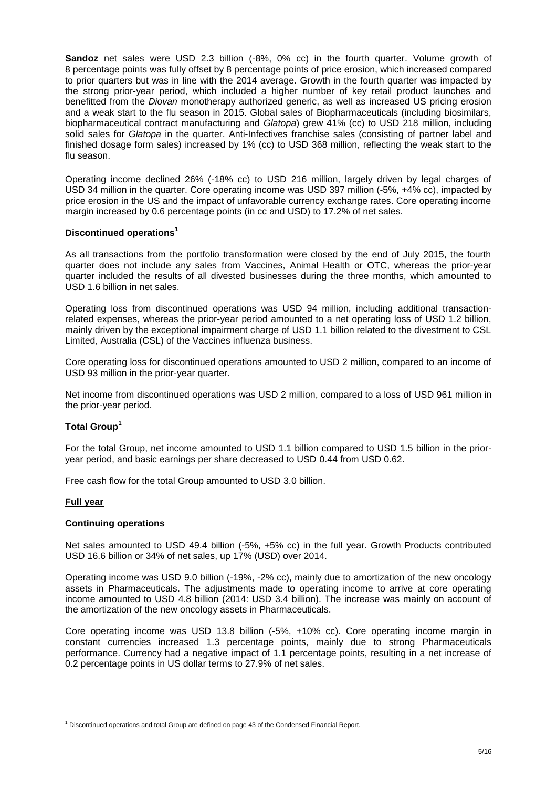**Sandoz** net sales were USD 2.3 billion (-8%, 0% cc) in the fourth quarter. Volume growth of 8 percentage points was fully offset by 8 percentage points of price erosion, which increased compared to prior quarters but was in line with the 2014 average. Growth in the fourth quarter was impacted by the strong prior-year period, which included a higher number of key retail product launches and benefitted from the *Diovan* monotherapy authorized generic, as well as increased US pricing erosion and a weak start to the flu season in 2015. Global sales of Biopharmaceuticals (including biosimilars, biopharmaceutical contract manufacturing and *Glatopa*) grew 41% (cc) to USD 218 million, including solid sales for *Glatopa* in the quarter. Anti-Infectives franchise sales (consisting of partner label and finished dosage form sales) increased by 1% (cc) to USD 368 million, reflecting the weak start to the flu season.

Operating income declined 26% (-18% cc) to USD 216 million, largely driven by legal charges of USD 34 million in the quarter. Core operating income was USD 397 million (-5%, +4% cc), impacted by price erosion in the US and the impact of unfavorable currency exchange rates. Core operating income margin increased by 0.6 percentage points (in cc and USD) to 17.2% of net sales.

#### **Discontinued operations<sup>1</sup>**

As all transactions from the portfolio transformation were closed by the end of July 2015, the fourth quarter does not include any sales from Vaccines, Animal Health or OTC, whereas the prior-year quarter included the results of all divested businesses during the three months, which amounted to USD 1.6 billion in net sales.

Operating loss from discontinued operations was USD 94 million, including additional transactionrelated expenses, whereas the prior-year period amounted to a net operating loss of USD 1.2 billion, mainly driven by the exceptional impairment charge of USD 1.1 billion related to the divestment to CSL Limited, Australia (CSL) of the Vaccines influenza business.

Core operating loss for discontinued operations amounted to USD 2 million, compared to an income of USD 93 million in the prior-year quarter.

Net income from discontinued operations was USD 2 million, compared to a loss of USD 961 million in the prior-year period.

#### **Total Group<sup>1</sup>**

For the total Group, net income amounted to USD 1.1 billion compared to USD 1.5 billion in the prioryear period, and basic earnings per share decreased to USD 0.44 from USD 0.62.

Free cash flow for the total Group amounted to USD 3.0 billion.

#### **Full year**

#### **Continuing operations**

Net sales amounted to USD 49.4 billion (-5%, +5% cc) in the full year. Growth Products contributed USD 16.6 billion or 34% of net sales, up 17% (USD) over 2014.

Operating income was USD 9.0 billion (-19%, -2% cc), mainly due to amortization of the new oncology assets in Pharmaceuticals. The adjustments made to operating income to arrive at core operating income amounted to USD 4.8 billion (2014: USD 3.4 billion). The increase was mainly on account of the amortization of the new oncology assets in Pharmaceuticals.

Core operating income was USD 13.8 billion (-5%, +10% cc). Core operating income margin in constant currencies increased 1.3 percentage points, mainly due to strong Pharmaceuticals performance. Currency had a negative impact of 1.1 percentage points, resulting in a net increase of 0.2 percentage points in US dollar terms to 27.9% of net sales.

<sup>&</sup>lt;u>.</u>  $1$  Discontinued operations and total Group are defined on page 43 of the Condensed Financial Report.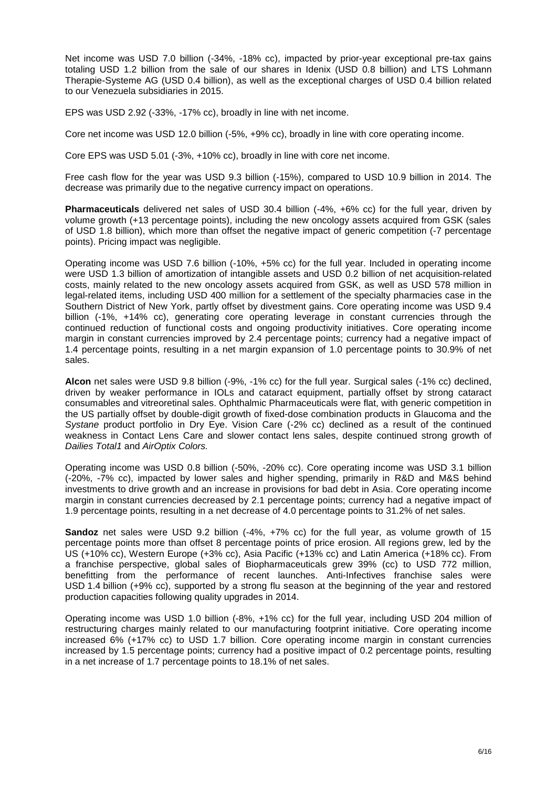Net income was USD 7.0 billion (-34%, -18% cc), impacted by prior-year exceptional pre-tax gains totaling USD 1.2 billion from the sale of our shares in Idenix (USD 0.8 billion) and LTS Lohmann Therapie-Systeme AG (USD 0.4 billion), as well as the exceptional charges of USD 0.4 billion related to our Venezuela subsidiaries in 2015.

EPS was USD 2.92 (-33%, -17% cc), broadly in line with net income.

Core net income was USD 12.0 billion (-5%, +9% cc), broadly in line with core operating income.

Core EPS was USD 5.01 (-3%, +10% cc), broadly in line with core net income.

Free cash flow for the year was USD 9.3 billion (-15%), compared to USD 10.9 billion in 2014. The decrease was primarily due to the negative currency impact on operations.

**Pharmaceuticals** delivered net sales of USD 30.4 billion (-4%, +6% cc) for the full year, driven by volume growth (+13 percentage points), including the new oncology assets acquired from GSK (sales of USD 1.8 billion), which more than offset the negative impact of generic competition (-7 percentage points). Pricing impact was negligible.

Operating income was USD 7.6 billion (-10%, +5% cc) for the full year. Included in operating income were USD 1.3 billion of amortization of intangible assets and USD 0.2 billion of net acquisition-related costs, mainly related to the new oncology assets acquired from GSK, as well as USD 578 million in legal-related items, including USD 400 million for a settlement of the specialty pharmacies case in the Southern District of New York, partly offset by divestment gains. Core operating income was USD 9.4 billion (-1%, +14% cc), generating core operating leverage in constant currencies through the continued reduction of functional costs and ongoing productivity initiatives. Core operating income margin in constant currencies improved by 2.4 percentage points; currency had a negative impact of 1.4 percentage points, resulting in a net margin expansion of 1.0 percentage points to 30.9% of net sales.

**Alcon** net sales were USD 9.8 billion (-9%, -1% cc) for the full year. Surgical sales (-1% cc) declined, driven by weaker performance in IOLs and cataract equipment, partially offset by strong cataract consumables and vitreoretinal sales. Ophthalmic Pharmaceuticals were flat, with generic competition in the US partially offset by double-digit growth of fixed-dose combination products in Glaucoma and the *Systane* product portfolio in Dry Eye. Vision Care (-2% cc) declined as a result of the continued weakness in Contact Lens Care and slower contact lens sales, despite continued strong growth of *Dailies Total1* and *AirOptix Colors.*

Operating income was USD 0.8 billion (-50%, -20% cc). Core operating income was USD 3.1 billion (-20%, -7% cc), impacted by lower sales and higher spending, primarily in R&D and M&S behind investments to drive growth and an increase in provisions for bad debt in Asia. Core operating income margin in constant currencies decreased by 2.1 percentage points; currency had a negative impact of 1.9 percentage points, resulting in a net decrease of 4.0 percentage points to 31.2% of net sales.

**Sandoz** net sales were USD 9.2 billion (-4%, +7% cc) for the full year, as volume growth of 15 percentage points more than offset 8 percentage points of price erosion. All regions grew, led by the US (+10% cc), Western Europe (+3% cc), Asia Pacific (+13% cc) and Latin America (+18% cc). From a franchise perspective, global sales of Biopharmaceuticals grew 39% (cc) to USD 772 million, benefitting from the performance of recent launches. Anti-Infectives franchise sales were USD 1.4 billion (+9% cc), supported by a strong flu season at the beginning of the year and restored production capacities following quality upgrades in 2014.

Operating income was USD 1.0 billion (-8%, +1% cc) for the full year, including USD 204 million of restructuring charges mainly related to our manufacturing footprint initiative. Core operating income increased 6% (+17% cc) to USD 1.7 billion. Core operating income margin in constant currencies increased by 1.5 percentage points; currency had a positive impact of 0.2 percentage points, resulting in a net increase of 1.7 percentage points to 18.1% of net sales.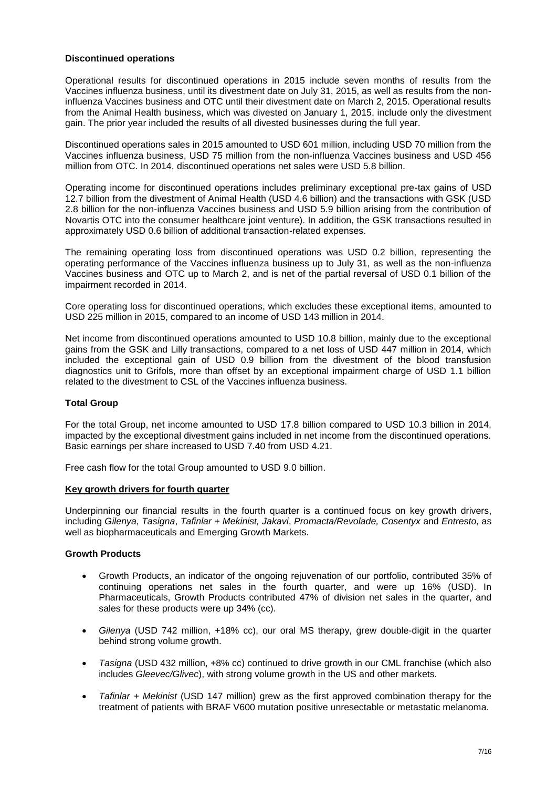#### **Discontinued operations**

Operational results for discontinued operations in 2015 include seven months of results from the Vaccines influenza business, until its divestment date on July 31, 2015, as well as results from the noninfluenza Vaccines business and OTC until their divestment date on March 2, 2015. Operational results from the Animal Health business, which was divested on January 1, 2015, include only the divestment gain. The prior year included the results of all divested businesses during the full year.

Discontinued operations sales in 2015 amounted to USD 601 million, including USD 70 million from the Vaccines influenza business, USD 75 million from the non-influenza Vaccines business and USD 456 million from OTC. In 2014, discontinued operations net sales were USD 5.8 billion.

Operating income for discontinued operations includes preliminary exceptional pre-tax gains of USD 12.7 billion from the divestment of Animal Health (USD 4.6 billion) and the transactions with GSK (USD 2.8 billion for the non-influenza Vaccines business and USD 5.9 billion arising from the contribution of Novartis OTC into the consumer healthcare joint venture). In addition, the GSK transactions resulted in approximately USD 0.6 billion of additional transaction-related expenses.

The remaining operating loss from discontinued operations was USD 0.2 billion, representing the operating performance of the Vaccines influenza business up to July 31, as well as the non-influenza Vaccines business and OTC up to March 2, and is net of the partial reversal of USD 0.1 billion of the impairment recorded in 2014.

Core operating loss for discontinued operations, which excludes these exceptional items, amounted to USD 225 million in 2015, compared to an income of USD 143 million in 2014.

Net income from discontinued operations amounted to USD 10.8 billion, mainly due to the exceptional gains from the GSK and Lilly transactions, compared to a net loss of USD 447 million in 2014, which included the exceptional gain of USD 0.9 billion from the divestment of the blood transfusion diagnostics unit to Grifols, more than offset by an exceptional impairment charge of USD 1.1 billion related to the divestment to CSL of the Vaccines influenza business.

## **Total Group**

For the total Group, net income amounted to USD 17.8 billion compared to USD 10.3 billion in 2014, impacted by the exceptional divestment gains included in net income from the discontinued operations. Basic earnings per share increased to USD 7.40 from USD 4.21.

Free cash flow for the total Group amounted to USD 9.0 billion.

#### **Key growth drivers for fourth quarter**

Underpinning our financial results in the fourth quarter is a continued focus on key growth drivers, including *Gilenya*, *Tasigna*, *Tafinlar + Mekinist, Jakavi*, *Promacta/Revolade, Cosentyx* and *Entresto*, as well as biopharmaceuticals and Emerging Growth Markets.

#### **Growth Products**

- Growth Products, an indicator of the ongoing rejuvenation of our portfolio, contributed 35% of continuing operations net sales in the fourth quarter, and were up 16% (USD). In Pharmaceuticals, Growth Products contributed 47% of division net sales in the quarter, and sales for these products were up 34% (cc).
- *Gilenya* (USD 742 million, +18% cc), our oral MS therapy, grew double-digit in the quarter behind strong volume growth.
- *Tasigna* (USD 432 million, +8% cc) continued to drive growth in our CML franchise (which also includes *Gleevec/Glivec*), with strong volume growth in the US and other markets.
- *Tafinlar + Mekinist* (USD 147 million) grew as the first approved combination therapy for the treatment of patients with BRAF V600 mutation positive unresectable or metastatic melanoma.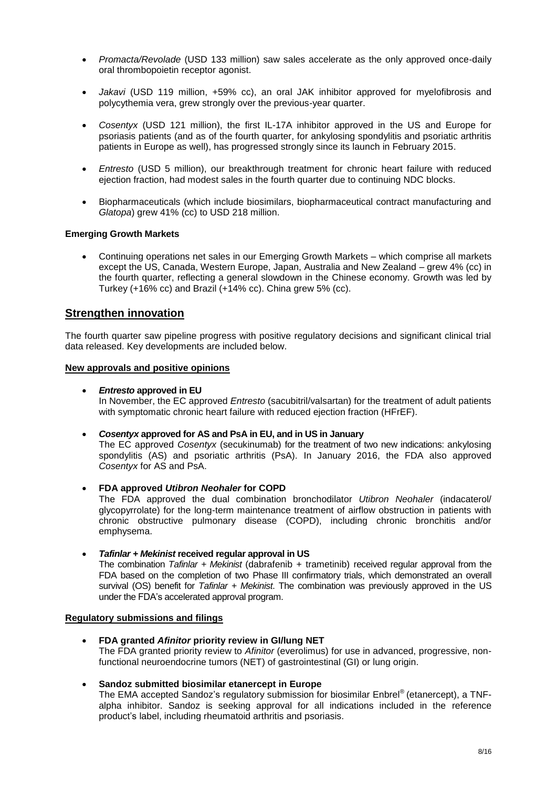- *Promacta/Revolade* (USD 133 million) saw sales accelerate as the only approved once-daily oral thrombopoietin receptor agonist.
- *Jakavi* (USD 119 million, +59% cc), an oral JAK inhibitor approved for myelofibrosis and polycythemia vera, grew strongly over the previous-year quarter.
- *Cosentyx* (USD 121 million), the first IL-17A inhibitor approved in the US and Europe for psoriasis patients (and as of the fourth quarter, for ankylosing spondylitis and psoriatic arthritis patients in Europe as well), has progressed strongly since its launch in February 2015.
- *Entresto* (USD 5 million), our breakthrough treatment for chronic heart failure with reduced ejection fraction, had modest sales in the fourth quarter due to continuing NDC blocks.
- Biopharmaceuticals (which include biosimilars, biopharmaceutical contract manufacturing and *Glatopa*) grew 41% (cc) to USD 218 million.

#### **Emerging Growth Markets**

 Continuing operations net sales in our Emerging Growth Markets – which comprise all markets except the US, Canada, Western Europe, Japan, Australia and New Zealand – grew 4% (cc) in the fourth quarter, reflecting a general slowdown in the Chinese economy. Growth was led by Turkey (+16% cc) and Brazil (+14% cc). China grew 5% (cc).

# **Strengthen innovation**

The fourth quarter saw pipeline progress with positive regulatory decisions and significant clinical trial data released. Key developments are included below.

#### **New approvals and positive opinions**

#### *Entresto* **approved in EU**

In November, the EC approved *Entresto* (sacubitril/valsartan) for the treatment of adult patients with symptomatic chronic heart failure with reduced ejection fraction (HFrEF).

#### *Cosentyx* **approved for AS and PsA in EU, and in US in January**

The EC approved *Cosentyx* (secukinumab) for the treatment of two new indications: ankylosing spondylitis (AS) and psoriatic arthritis (PsA). In January 2016, the FDA also approved *Cosentyx* for AS and PsA.

#### **FDA approved** *Utibron Neohaler* **for COPD**

The FDA approved the dual combination bronchodilator *Utibron Neohaler* (indacaterol/ glycopyrrolate) for the long-term maintenance treatment of airflow obstruction in patients with chronic obstructive pulmonary disease (COPD), including chronic bronchitis and/or emphysema.

## *Tafinlar + Mekinist* **received regular approval in US**

The combination *Tafinlar + Mekinist* (dabrafenib + trametinib) received regular approval from the FDA based on the completion of two Phase III confirmatory trials, which demonstrated an overall survival (OS) benefit for *Tafinlar + Mekinist*. The combination was previously approved in the US under the FDA's accelerated approval program.

#### **Regulatory submissions and filings**

 **FDA granted** *Afinitor* **priority review in GI/lung NET**  The FDA granted priority review to *Afinitor* (everolimus) for use in advanced, progressive, nonfunctional neuroendocrine tumors (NET) of gastrointestinal (GI) or lung origin.

## **Sandoz submitted biosimilar etanercept in Europe**

The EMA accepted Sandoz's regulatory submission for biosimilar Enbrel® (etanercept), a TNFalpha inhibitor. Sandoz is seeking approval for all indications included in the reference product's label, including rheumatoid arthritis and psoriasis.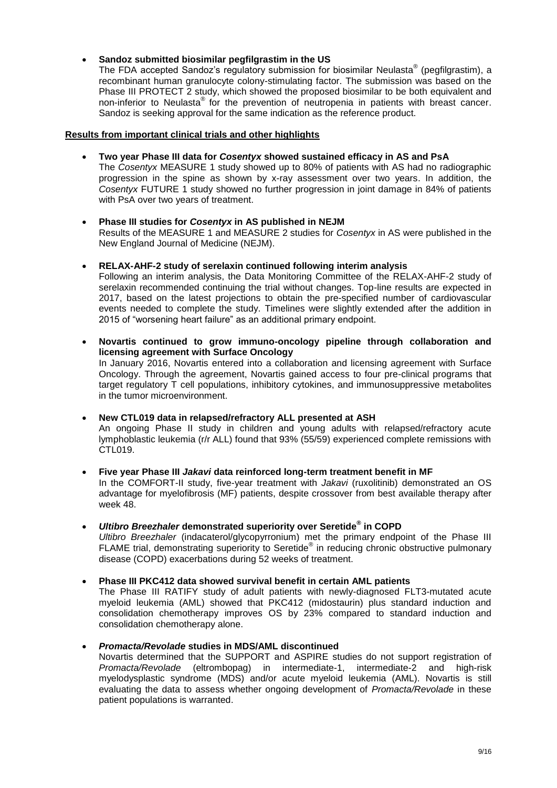## **Sandoz submitted biosimilar pegfilgrastim in the US**

The FDA accepted Sandoz's regulatory submission for biosimilar Neulasta® (pegfilgrastim), a recombinant human granulocyte colony-stimulating factor. The submission was based on the Phase III PROTECT 2 study, which showed the proposed biosimilar to be both equivalent and non-inferior to Neulasta® for the prevention of neutropenia in patients with breast cancer. Sandoz is seeking approval for the same indication as the reference product.

## **Results from important clinical trials and other highlights**

## **Two year Phase III data for** *Cosentyx* **showed sustained efficacy in AS and PsA**

The *Cosentyx* MEASURE 1 study showed up to 80% of patients with AS had no radiographic progression in the spine as shown by x-ray assessment over two years. In addition, the *Cosentyx* FUTURE 1 study showed no further progression in joint damage in 84% of patients with PsA over two years of treatment.

#### **Phase III studies for** *Cosentyx* **in AS published in NEJM**  Results of the MEASURE 1 and MEASURE 2 studies for *Cosentyx* in AS were published in the New England Journal of Medicine (NEJM).

**RELAX-AHF-2 study of serelaxin continued following interim analysis**

Following an interim analysis, the Data Monitoring Committee of the RELAX-AHF-2 study of serelaxin recommended continuing the trial without changes. Top-line results are expected in 2017, based on the latest projections to obtain the pre-specified number of cardiovascular events needed to complete the study. Timelines were slightly extended after the addition in 2015 of "worsening heart failure" as an additional primary endpoint.

 **Novartis continued to grow immuno-oncology pipeline through collaboration and licensing agreement with Surface Oncology** In January 2016, Novartis entered into a collaboration and licensing agreement with Surface Oncology. Through the agreement, Novartis gained access to four pre-clinical programs that target regulatory T cell populations, inhibitory cytokines, and immunosuppressive metabolites in the tumor microenvironment.

**New CTL019 data in relapsed/refractory ALL presented at ASH**

An ongoing Phase II study in children and young adults with relapsed/refractory acute lymphoblastic leukemia (r/r ALL) found that 93% (55/59) experienced complete remissions with CTL019.

- **Five year Phase III** *Jakavi* **data reinforced long-term treatment benefit in MF** In the COMFORT-II study, five-year treatment with *Jakavi* (ruxolitinib) demonstrated an OS advantage for myelofibrosis (MF) patients, despite crossover from best available therapy after week 48.
- *Ultibro Breezhaler* **demonstrated superiority over Seretide® in COPD**  *Ultibro Breezhaler* (indacaterol/glycopyrronium) met the primary endpoint of the Phase III FLAME trial, demonstrating superiority to Seretide<sup>®</sup> in reducing chronic obstructive pulmonary disease (COPD) exacerbations during 52 weeks of treatment.

**Phase III PKC412 data showed survival benefit in certain AML patients** 

The Phase III RATIFY study of adult patients with newly-diagnosed FLT3-mutated acute myeloid leukemia (AML) showed that PKC412 (midostaurin) plus standard induction and consolidation chemotherapy improves OS by 23% compared to standard induction and consolidation chemotherapy alone.

*Promacta/Revolade* **studies in MDS/AML discontinued**

Novartis determined that the SUPPORT and ASPIRE studies do not support registration of *Promacta/Revolade* (eltrombopag) in intermediate-1, intermediate-2 and high-risk myelodysplastic syndrome (MDS) and/or acute myeloid leukemia (AML). Novartis is still evaluating the data to assess whether ongoing development of *Promacta/Revolade* in these patient populations is warranted.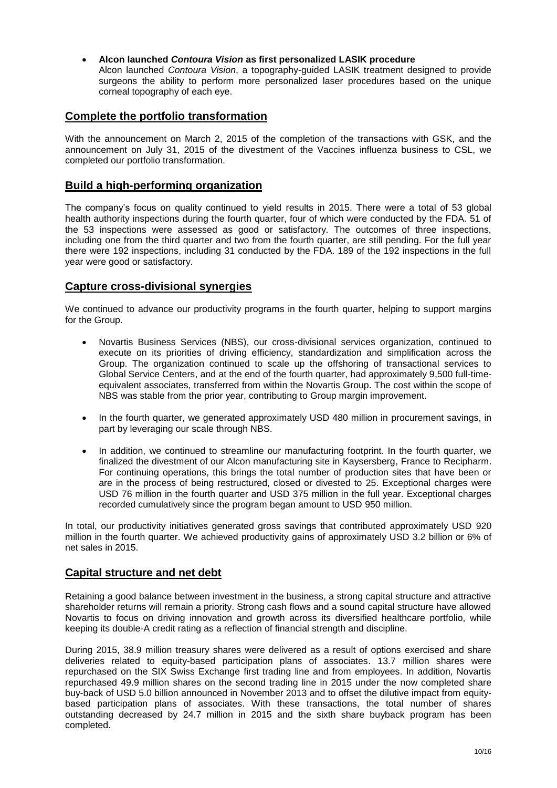**Alcon launched** *Contoura Vision* **as first personalized LASIK procedure**

Alcon launched *Contoura Vision*, a topography-guided LASIK treatment designed to provide surgeons the ability to perform more personalized laser procedures based on the unique corneal topography of each eye.

# **Complete the portfolio transformation**

With the announcement on March 2, 2015 of the completion of the transactions with GSK, and the announcement on July 31, 2015 of the divestment of the Vaccines influenza business to CSL, we completed our portfolio transformation.

# **Build a high-performing organization**

The company's focus on quality continued to yield results in 2015. There were a total of 53 global health authority inspections during the fourth quarter, four of which were conducted by the FDA. 51 of the 53 inspections were assessed as good or satisfactory. The outcomes of three inspections, including one from the third quarter and two from the fourth quarter, are still pending. For the full year there were 192 inspections, including 31 conducted by the FDA. 189 of the 192 inspections in the full year were good or satisfactory.

# **Capture cross-divisional synergies**

We continued to advance our productivity programs in the fourth quarter, helping to support margins for the Group.

- Novartis Business Services (NBS), our cross-divisional services organization, continued to execute on its priorities of driving efficiency, standardization and simplification across the Group. The organization continued to scale up the offshoring of transactional services to Global Service Centers, and at the end of the fourth quarter, had approximately 9,500 full-timeequivalent associates, transferred from within the Novartis Group. The cost within the scope of NBS was stable from the prior year, contributing to Group margin improvement.
- In the fourth quarter, we generated approximately USD 480 million in procurement savings, in part by leveraging our scale through NBS.
- In addition, we continued to streamline our manufacturing footprint. In the fourth quarter, we finalized the divestment of our Alcon manufacturing site in Kaysersberg, France to Recipharm. For continuing operations, this brings the total number of production sites that have been or are in the process of being restructured, closed or divested to 25. Exceptional charges were USD 76 million in the fourth quarter and USD 375 million in the full year. Exceptional charges recorded cumulatively since the program began amount to USD 950 million.

In total, our productivity initiatives generated gross savings that contributed approximately USD 920 million in the fourth quarter. We achieved productivity gains of approximately USD 3.2 billion or 6% of net sales in 2015.

# **Capital structure and net debt**

Retaining a good balance between investment in the business, a strong capital structure and attractive shareholder returns will remain a priority. Strong cash flows and a sound capital structure have allowed Novartis to focus on driving innovation and growth across its diversified healthcare portfolio, while keeping its double-A credit rating as a reflection of financial strength and discipline.

During 2015, 38.9 million treasury shares were delivered as a result of options exercised and share deliveries related to equity-based participation plans of associates. 13.7 million shares were repurchased on the SIX Swiss Exchange first trading line and from employees. In addition, Novartis repurchased 49.9 million shares on the second trading line in 2015 under the now completed share buy-back of USD 5.0 billion announced in November 2013 and to offset the dilutive impact from equitybased participation plans of associates. With these transactions, the total number of shares outstanding decreased by 24.7 million in 2015 and the sixth share buyback program has been completed.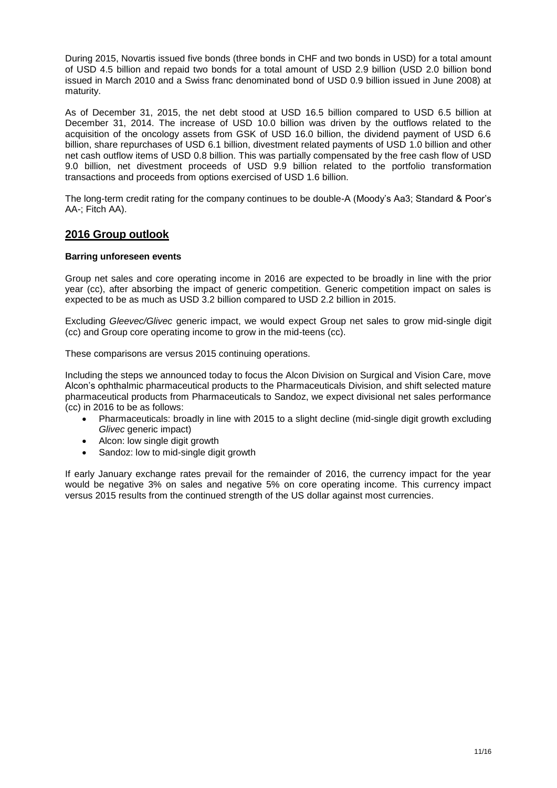During 2015, Novartis issued five bonds (three bonds in CHF and two bonds in USD) for a total amount of USD 4.5 billion and repaid two bonds for a total amount of USD 2.9 billion (USD 2.0 billion bond issued in March 2010 and a Swiss franc denominated bond of USD 0.9 billion issued in June 2008) at maturity.

As of December 31, 2015, the net debt stood at USD 16.5 billion compared to USD 6.5 billion at December 31, 2014. The increase of USD 10.0 billion was driven by the outflows related to the acquisition of the oncology assets from GSK of USD 16.0 billion, the dividend payment of USD 6.6 billion, share repurchases of USD 6.1 billion, divestment related payments of USD 1.0 billion and other net cash outflow items of USD 0.8 billion. This was partially compensated by the free cash flow of USD 9.0 billion, net divestment proceeds of USD 9.9 billion related to the portfolio transformation transactions and proceeds from options exercised of USD 1.6 billion.

The long-term credit rating for the company continues to be double-A (Moody's Aa3; Standard & Poor's AA-; Fitch AA).

# **2016 Group outlook**

#### **Barring unforeseen events**

Group net sales and core operating income in 2016 are expected to be broadly in line with the prior year (cc), after absorbing the impact of generic competition. Generic competition impact on sales is expected to be as much as USD 3.2 billion compared to USD 2.2 billion in 2015.

Excluding *Gleevec/Glivec* generic impact, we would expect Group net sales to grow mid-single digit (cc) and Group core operating income to grow in the mid-teens (cc).

These comparisons are versus 2015 continuing operations.

Including the steps we announced today to focus the Alcon Division on Surgical and Vision Care, move Alcon's ophthalmic pharmaceutical products to the Pharmaceuticals Division, and shift selected mature pharmaceutical products from Pharmaceuticals to Sandoz, we expect divisional net sales performance (cc) in 2016 to be as follows:

- Pharmaceuticals: broadly in line with 2015 to a slight decline (mid-single digit growth excluding *Glivec* generic impact)
- Alcon: low single digit growth
- Sandoz: low to mid-single digit growth

If early January exchange rates prevail for the remainder of 2016, the currency impact for the year would be negative 3% on sales and negative 5% on core operating income. This currency impact versus 2015 results from the continued strength of the US dollar against most currencies.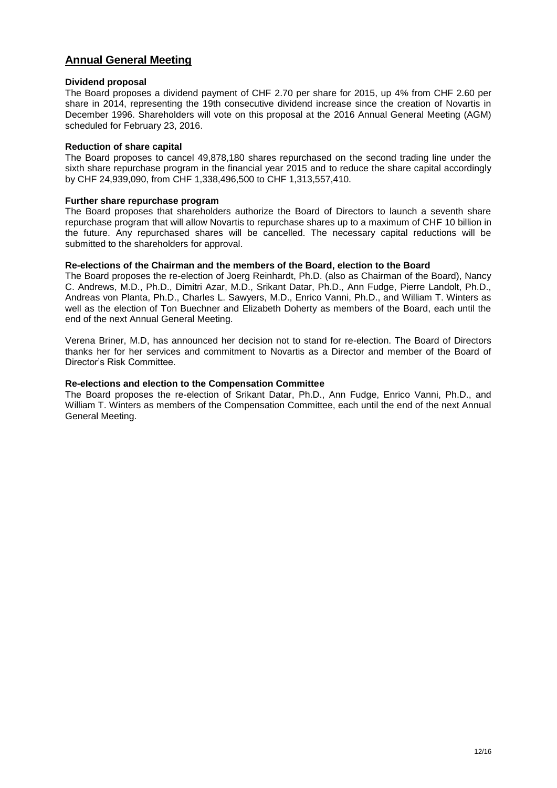# **Annual General Meeting**

#### **Dividend proposal**

The Board proposes a dividend payment of CHF 2.70 per share for 2015, up 4% from CHF 2.60 per share in 2014, representing the 19th consecutive dividend increase since the creation of Novartis in December 1996. Shareholders will vote on this proposal at the 2016 Annual General Meeting (AGM) scheduled for February 23, 2016.

#### **Reduction of share capital**

The Board proposes to cancel 49,878,180 shares repurchased on the second trading line under the sixth share repurchase program in the financial year 2015 and to reduce the share capital accordingly by CHF 24,939,090, from CHF 1,338,496,500 to CHF 1,313,557,410.

#### **Further share repurchase program**

The Board proposes that shareholders authorize the Board of Directors to launch a seventh share repurchase program that will allow Novartis to repurchase shares up to a maximum of CHF 10 billion in the future. Any repurchased shares will be cancelled. The necessary capital reductions will be submitted to the shareholders for approval.

#### **Re-elections of the Chairman and the members of the Board, election to the Board**

The Board proposes the re-election of Joerg Reinhardt, Ph.D. (also as Chairman of the Board), Nancy C. Andrews, M.D., Ph.D., Dimitri Azar, M.D., Srikant Datar, Ph.D., Ann Fudge, Pierre Landolt, Ph.D., Andreas von Planta, Ph.D., Charles L. Sawyers, M.D., Enrico Vanni, Ph.D., and William T. Winters as well as the election of Ton Buechner and Elizabeth Doherty as members of the Board, each until the end of the next Annual General Meeting.

Verena Briner, M.D, has announced her decision not to stand for re-election. The Board of Directors thanks her for her services and commitment to Novartis as a Director and member of the Board of Director's Risk Committee.

#### **Re-elections and election to the Compensation Committee**

The Board proposes the re-election of Srikant Datar, Ph.D., Ann Fudge, Enrico Vanni, Ph.D., and William T. Winters as members of the Compensation Committee, each until the end of the next Annual General Meeting.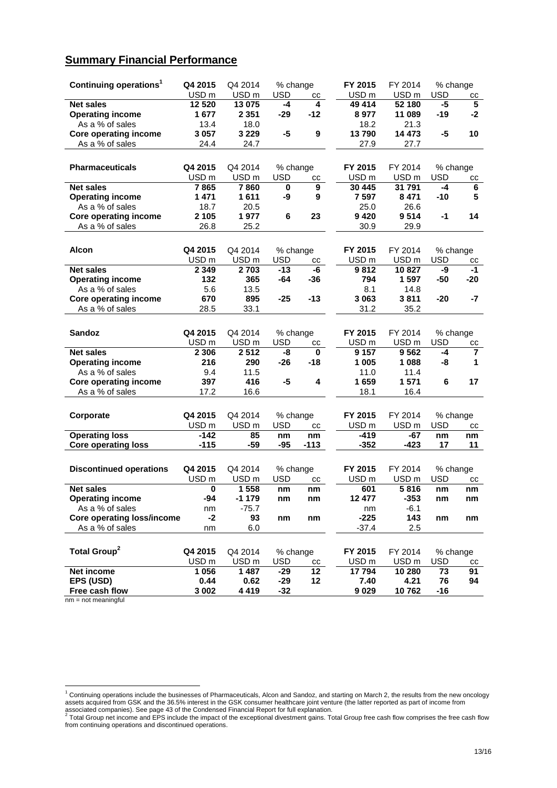# **Summary Financial Performance**

| Continuing operations <sup>1</sup>         | Q4 2015          | Q4 2014          | % change     |             | FY 2015          | FY 2014          | % change   |                |
|--------------------------------------------|------------------|------------------|--------------|-------------|------------------|------------------|------------|----------------|
|                                            | USD <sub>m</sub> | USD <sub>m</sub> | USD          | СC          | USD <sub>m</sub> | USD <sub>m</sub> | USD        | cс             |
| <b>Net sales</b>                           | 12 5 20          | 13 075           | -4           | 4           | 49 414           | 52 180           | -5         | $5\phantom{1}$ |
| <b>Operating income</b>                    | 1677             | 2 3 5 1          | $-29$        | $-12$       | 8977             | 11 089           | $-19$      | $-2$           |
| As a % of sales                            | 13.4             | 18.0             |              |             | 18.2             | 21.3             |            |                |
| <b>Core operating income</b>               | 3057             | 3 2 2 9          | -5           | 9           | 13790            | 14 473           | -5         | 10             |
| As a % of sales                            | 24.4             | 24.7             |              |             | 27.9             | 27.7             |            |                |
|                                            |                  |                  |              |             |                  |                  |            |                |
| <b>Pharmaceuticals</b>                     | Q4 2015          | Q4 2014          | % change     |             | FY 2015          | FY 2014          | % change   |                |
|                                            | USD <sub>m</sub> | USD <sub>m</sub> | <b>USD</b>   | CС          | USD <sub>m</sub> | USD <sub>m</sub> | <b>USD</b> | CС             |
| <b>Net sales</b>                           | 7865             | 7860             | 0            | 9           | 30 445           | 31 791           | -4         | 6              |
| <b>Operating income</b>                    | 1471             | 1611             | -9           | 9           | 7597             | 8471             | $-10$      | 5              |
| As a % of sales                            | 18.7             | 20.5             |              |             | 25.0             | 26.6             |            |                |
| <b>Core operating income</b>               | 2 1 0 5          | 1977             | 6            | 23          | 9420             | 9 514            | -1         | 14             |
| As a % of sales                            | 26.8             | 25.2             |              |             | 30.9             | 29.9             |            |                |
|                                            |                  |                  |              |             |                  |                  |            |                |
|                                            |                  |                  |              |             |                  |                  |            |                |
| Alcon                                      | Q4 2015          | Q4 2014          | % change     |             | FY 2015          | FY 2014          | % change   |                |
|                                            | USD <sub>m</sub> | USD <sub>m</sub> | <b>USD</b>   | cc          | USD <sub>m</sub> | USD <sub>m</sub> | <b>USD</b> | cc<br>$-1$     |
| <b>Net sales</b>                           | 2 3 4 9<br>132   | 2703<br>365      | $-13$<br>-64 | -6<br>$-36$ | 9812<br>794      | 10827<br>1597    | -9<br>-50  | -20            |
| <b>Operating income</b><br>As a % of sales | 5.6              | 13.5             |              |             | 8.1              |                  |            |                |
| <b>Core operating income</b>               | 670              | 895              | $-25$        | $-13$       | 3 0 6 3          | 14.8<br>3811     | -20        | -7             |
| As a % of sales                            | 28.5             | 33.1             |              |             | 31.2             | 35.2             |            |                |
|                                            |                  |                  |              |             |                  |                  |            |                |
|                                            |                  |                  |              |             |                  |                  |            |                |
| <b>Sandoz</b>                              | Q4 2015          | Q4 2014          | % change     |             | FY 2015          | FY 2014          | % change   |                |
|                                            | USD <sub>m</sub> | USD <sub>m</sub> | <b>USD</b>   | cс          | USD <sub>m</sub> | USD <sub>m</sub> | <b>USD</b> | cс             |
| <b>Net sales</b>                           | 2 3 0 6          | 2512             | -8           | 0           | 9 1 5 7          | 9562             | -4         | 7              |
| <b>Operating income</b>                    | 216              | 290              | $-26$        | $-18$       | 1 0 0 5          | 1088             | -8         | 1              |
| As a % of sales                            | 9.4              | 11.5             |              |             | 11.0             | 11.4             |            |                |
| <b>Core operating income</b>               | 397              | 416              | -5           | 4           | 1659             | 1 571            | 6          | 17             |
| As a % of sales                            | 17.2             | 16.6             |              |             | 18.1             | 16.4             |            |                |
|                                            |                  |                  |              |             |                  |                  |            |                |
| Corporate                                  | Q4 2015          | Q4 2014          | % change     |             | FY 2015          | FY 2014          | % change   |                |
|                                            | USD <sub>m</sub> | USD <sub>m</sub> | <b>USD</b>   | СC          | USD <sub>m</sub> | USD <sub>m</sub> | <b>USD</b> | cс             |
| <b>Operating loss</b>                      | -142             | 85               | nm           | nm          | -419             | -67              | nm         | nm             |
| <b>Core operating loss</b>                 | $-115$           | $-59$            | $-95$        | $-113$      | $-352$           | $-423$           | 17         | 11             |
|                                            |                  |                  |              |             |                  |                  |            |                |
| <b>Discontinued operations</b>             | Q4 2015          | Q4 2014          | % change     |             | FY 2015          | FY 2014          | % change   |                |
|                                            | USD <sub>m</sub> | USD <sub>m</sub> | <b>USD</b>   | СC          | USD <sub>m</sub> | USD <sub>m</sub> | <b>USD</b> | CС             |
| <b>Net sales</b>                           | 0                | 1 558            | nm           | nm          | 601              | 5816             | nm         | nm             |
| <b>Operating income</b>                    | -94              | -1 179           | nm           | nm          | 12 477           | -353             | nm         | nm             |
| As a % of sales                            | nm               | $-75.7$          |              |             | nm               | $-6.1$           |            |                |
| <b>Core operating loss/income</b>          | $-2$             | 93               | nm           | nm          | $-225$           | 143              | nm         | nm             |
| As a % of sales                            | nm               | 6.0              |              |             | $-37.4$          | 2.5              |            |                |
|                                            |                  |                  |              |             |                  |                  |            |                |
|                                            |                  |                  |              |             |                  |                  |            |                |
| Total Group <sup>2</sup>                   | Q4 2015          | Q4 2014          | % change     |             | FY 2015          | FY 2014          | % change   |                |
|                                            | USD <sub>m</sub> | USD <sub>m</sub> | <b>USD</b>   | cc          | USD <sub>m</sub> | USD <sub>m</sub> | <b>USD</b> | СC             |
| Net income                                 | 1 0 5 6          | 1 4 8 7          | $-29$        | 12          | 17794            | 10 280           | 73         | 91             |
| EPS (USD)                                  | 0.44             | 0.62             | $-29$        | 12          | 7.40             | 4.21             | 76         | 94             |
| Free cash flow                             | 3 0 0 2          | 4 4 1 9          | $-32$        |             | 9029             | 10762            | $-16$      |                |

 $nm = not meaningful$ 

<u>.</u>

 $1$  Continuing operations include the businesses of Pharmaceuticals, Alcon and Sandoz, and starting on March 2, the results from the new oncology assets acquired from GSK and the 36.5% interest in the GSK consumer healthcare joint venture (the latter reported as part of income from

associated companies). See page 43 of the Condensed Financial Report for full explanation.<br><sup>2</sup> Total Group net income and EPS include the impact of the exceptional divestment gains. Total Group free cash flow comprises the from continuing operations and discontinued operations.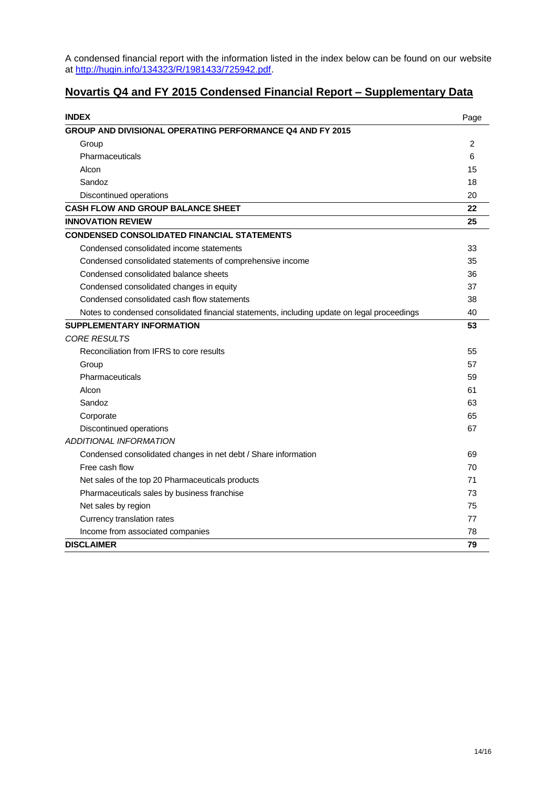A condensed financial report with the information listed in the index below can be found on our website at [http://hugin.info/134323/R/1981433/725942.pdf.](http://hugin.info/134323/R/1981433/725942.pdf)

# **Novartis Q4 and FY 2015 Condensed Financial Report – Supplementary Data**

| <b>INDEX</b>                                                                                | Page           |
|---------------------------------------------------------------------------------------------|----------------|
| <b>GROUP AND DIVISIONAL OPERATING PERFORMANCE Q4 AND FY 2015</b>                            |                |
| Group                                                                                       | $\overline{2}$ |
| Pharmaceuticals                                                                             | 6              |
| Alcon                                                                                       | 15             |
| Sandoz                                                                                      | 18             |
| Discontinued operations                                                                     | 20             |
| CASH FLOW AND GROUP BALANCE SHEET                                                           | 22             |
| <b>INNOVATION REVIEW</b>                                                                    | 25             |
| <b>CONDENSED CONSOLIDATED FINANCIAL STATEMENTS</b>                                          |                |
| Condensed consolidated income statements                                                    | 33             |
| Condensed consolidated statements of comprehensive income                                   | 35             |
| Condensed consolidated balance sheets                                                       | 36             |
| Condensed consolidated changes in equity                                                    | 37             |
| Condensed consolidated cash flow statements                                                 | 38             |
| Notes to condensed consolidated financial statements, including update on legal proceedings | 40             |
| <b>SUPPLEMENTARY INFORMATION</b>                                                            | 53             |
| <b>CORE RESULTS</b>                                                                         |                |
| Reconciliation from IFRS to core results                                                    | 55             |
| Group                                                                                       | 57             |
| Pharmaceuticals                                                                             | 59             |
| Alcon                                                                                       | 61             |
| Sandoz                                                                                      | 63             |
| Corporate                                                                                   | 65             |
| Discontinued operations                                                                     | 67             |
| ADDITIONAL INFORMATION                                                                      |                |
| Condensed consolidated changes in net debt / Share information                              | 69             |
| Free cash flow                                                                              | 70             |
| Net sales of the top 20 Pharmaceuticals products                                            | 71             |
| Pharmaceuticals sales by business franchise                                                 | 73             |
| Net sales by region                                                                         | 75             |
| Currency translation rates                                                                  | 77             |
| Income from associated companies                                                            | 78             |
| <b>DISCLAIMER</b>                                                                           | 79             |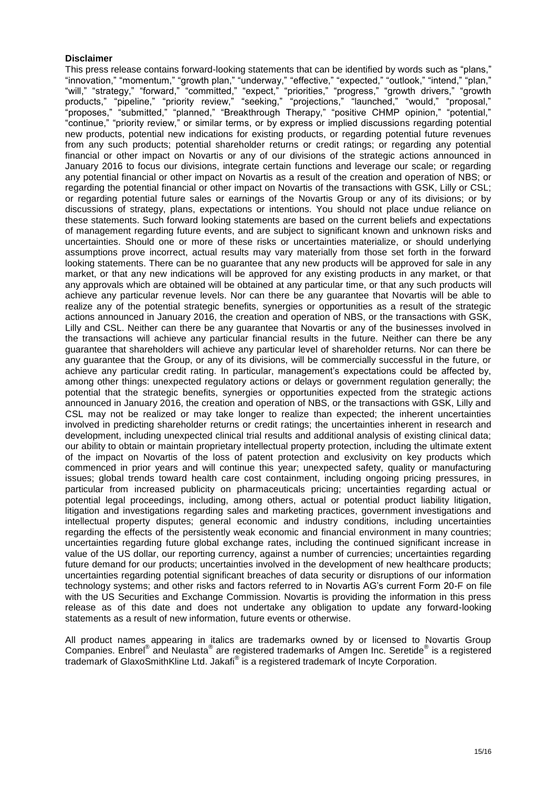#### **Disclaimer**

This press release contains forward-looking statements that can be identified by words such as "plans," "innovation," "momentum," "growth plan," "underway," "effective," "expected," "outlook," "intend," "plan," "will," "strategy," "forward," "committed," "expect," "priorities," "progress," "growth drivers," "growth products," "pipeline," "priority review," "seeking," "projections," "launched," "would," "proposal," "proposes," "submitted," "planned," "Breakthrough Therapy," "positive CHMP opinion," "potential," "continue," "priority review," or similar terms, or by express or implied discussions regarding potential new products, potential new indications for existing products, or regarding potential future revenues from any such products; potential shareholder returns or credit ratings; or regarding any potential financial or other impact on Novartis or any of our divisions of the strategic actions announced in January 2016 to focus our divisions, integrate certain functions and leverage our scale; or regarding any potential financial or other impact on Novartis as a result of the creation and operation of NBS; or regarding the potential financial or other impact on Novartis of the transactions with GSK, Lilly or CSL; or regarding potential future sales or earnings of the Novartis Group or any of its divisions; or by discussions of strategy, plans, expectations or intentions. You should not place undue reliance on these statements. Such forward looking statements are based on the current beliefs and expectations of management regarding future events, and are subject to significant known and unknown risks and uncertainties. Should one or more of these risks or uncertainties materialize, or should underlying assumptions prove incorrect, actual results may vary materially from those set forth in the forward looking statements. There can be no guarantee that any new products will be approved for sale in any market, or that any new indications will be approved for any existing products in any market, or that any approvals which are obtained will be obtained at any particular time, or that any such products will achieve any particular revenue levels. Nor can there be any guarantee that Novartis will be able to realize any of the potential strategic benefits, synergies or opportunities as a result of the strategic actions announced in January 2016, the creation and operation of NBS, or the transactions with GSK, Lilly and CSL. Neither can there be any guarantee that Novartis or any of the businesses involved in the transactions will achieve any particular financial results in the future. Neither can there be any guarantee that shareholders will achieve any particular level of shareholder returns. Nor can there be any guarantee that the Group, or any of its divisions, will be commercially successful in the future, or achieve any particular credit rating. In particular, management's expectations could be affected by, among other things: unexpected regulatory actions or delays or government regulation generally; the potential that the strategic benefits, synergies or opportunities expected from the strategic actions announced in January 2016, the creation and operation of NBS, or the transactions with GSK, Lilly and CSL may not be realized or may take longer to realize than expected; the inherent uncertainties involved in predicting shareholder returns or credit ratings; the uncertainties inherent in research and development, including unexpected clinical trial results and additional analysis of existing clinical data; our ability to obtain or maintain proprietary intellectual property protection, including the ultimate extent of the impact on Novartis of the loss of patent protection and exclusivity on key products which commenced in prior years and will continue this year; unexpected safety, quality or manufacturing issues; global trends toward health care cost containment, including ongoing pricing pressures, in particular from increased publicity on pharmaceuticals pricing; uncertainties regarding actual or potential legal proceedings, including, among others, actual or potential product liability litigation, litigation and investigations regarding sales and marketing practices, government investigations and intellectual property disputes; general economic and industry conditions, including uncertainties regarding the effects of the persistently weak economic and financial environment in many countries; uncertainties regarding future global exchange rates, including the continued significant increase in value of the US dollar, our reporting currency, against a number of currencies; uncertainties regarding future demand for our products; uncertainties involved in the development of new healthcare products; uncertainties regarding potential significant breaches of data security or disruptions of our information technology systems; and other risks and factors referred to in Novartis AG's current Form 20-F on file with the US Securities and Exchange Commission. Novartis is providing the information in this press release as of this date and does not undertake any obligation to update any forward-looking statements as a result of new information, future events or otherwise.

All product names appearing in italics are trademarks owned by or licensed to Novartis Group Companies. Enbrel<sup>®</sup> and Neulasta<sup>®</sup> are registered trademarks of Amgen Inc. Seretide<sup>®</sup> is a registered trademark of GlaxoSmithKline Ltd. Jakafi® is a registered trademark of Incyte Corporation.